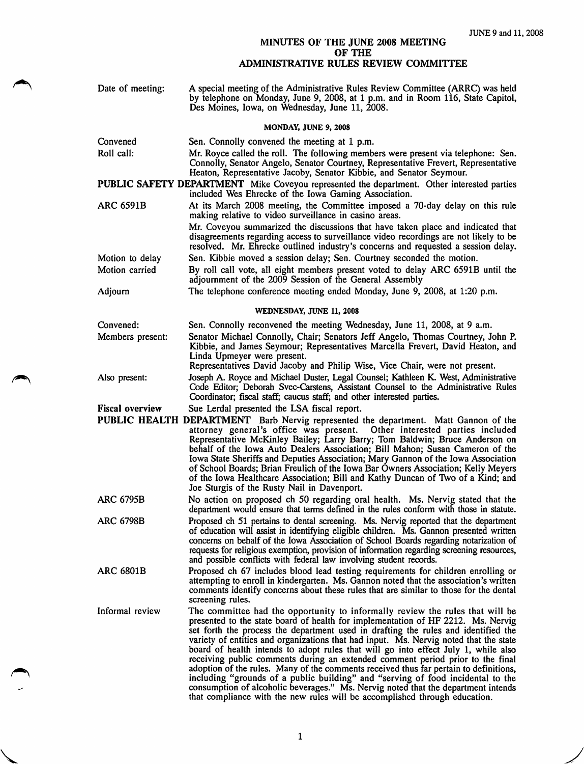## MINUTES OF THE JUNE 2008 MEETING OF THE ADMINISTRATIVE RULES REVIEW COMMITTEE

| Date of meeting:                                                                                                                                   | A special meeting of the Administrative Rules Review Committee (ARRC) was held<br>by telephone on Monday, June 9, 2008, at 1 p.m. and in Room 116, State Capitol,<br>Des Moines, Iowa, on Wednesday, June 11, 2008.                                                                                                                                                                                                                                                                                                                                                                                                                                                                                                                                                                                                                                                     |  |
|----------------------------------------------------------------------------------------------------------------------------------------------------|-------------------------------------------------------------------------------------------------------------------------------------------------------------------------------------------------------------------------------------------------------------------------------------------------------------------------------------------------------------------------------------------------------------------------------------------------------------------------------------------------------------------------------------------------------------------------------------------------------------------------------------------------------------------------------------------------------------------------------------------------------------------------------------------------------------------------------------------------------------------------|--|
| MONDAY, JUNE 9, 2008                                                                                                                               |                                                                                                                                                                                                                                                                                                                                                                                                                                                                                                                                                                                                                                                                                                                                                                                                                                                                         |  |
| Convened                                                                                                                                           | Sen. Connolly convened the meeting at 1 p.m.                                                                                                                                                                                                                                                                                                                                                                                                                                                                                                                                                                                                                                                                                                                                                                                                                            |  |
| Roll call:                                                                                                                                         | Mr. Royce called the roll. The following members were present via telephone: Sen.<br>Connolly, Senator Angelo, Senator Courtney, Representative Frevert, Representative<br>Heaton, Representative Jacoby, Senator Kibbie, and Senator Seymour.                                                                                                                                                                                                                                                                                                                                                                                                                                                                                                                                                                                                                          |  |
| PUBLIC SAFETY DEPARTMENT Mike Coveyou represented the department. Other interested parties<br>included Wes Ehrecke of the Iowa Gaming Association. |                                                                                                                                                                                                                                                                                                                                                                                                                                                                                                                                                                                                                                                                                                                                                                                                                                                                         |  |
| <b>ARC 6591B</b>                                                                                                                                   | At its March 2008 meeting, the Committee imposed a 70-day delay on this rule<br>making relative to video surveillance in casino areas.                                                                                                                                                                                                                                                                                                                                                                                                                                                                                                                                                                                                                                                                                                                                  |  |
|                                                                                                                                                    | Mr. Coveyou summarized the discussions that have taken place and indicated that<br>disagreements regarding access to surveillance video recordings are not likely to be<br>resolved. Mr. Ehrecke outlined industry's concerns and requested a session delay.                                                                                                                                                                                                                                                                                                                                                                                                                                                                                                                                                                                                            |  |
| Motion to delay                                                                                                                                    | Sen. Kibbie moved a session delay; Sen. Courtney seconded the motion.                                                                                                                                                                                                                                                                                                                                                                                                                                                                                                                                                                                                                                                                                                                                                                                                   |  |
| Motion carried                                                                                                                                     | By roll call vote, all eight members present voted to delay ARC 6591B until the<br>adjournment of the 2009 Session of the General Assembly                                                                                                                                                                                                                                                                                                                                                                                                                                                                                                                                                                                                                                                                                                                              |  |
| Adjourn                                                                                                                                            | The telephone conference meeting ended Monday, June 9, 2008, at 1:20 p.m.                                                                                                                                                                                                                                                                                                                                                                                                                                                                                                                                                                                                                                                                                                                                                                                               |  |
| WEDNESDAY, JUNE 11, 2008                                                                                                                           |                                                                                                                                                                                                                                                                                                                                                                                                                                                                                                                                                                                                                                                                                                                                                                                                                                                                         |  |
| Convened:                                                                                                                                          | Sen. Connolly reconvened the meeting Wednesday, June 11, 2008, at 9 a.m.                                                                                                                                                                                                                                                                                                                                                                                                                                                                                                                                                                                                                                                                                                                                                                                                |  |
| Members present:                                                                                                                                   | Senator Michael Connolly, Chair; Senators Jeff Angelo, Thomas Courtney, John P.<br>Kibbie, and James Seymour; Representatives Marcella Frevert, David Heaton, and<br>Linda Upmeyer were present.<br>Representatives David Jacoby and Philip Wise, Vice Chair, were not present.                                                                                                                                                                                                                                                                                                                                                                                                                                                                                                                                                                                         |  |
| Also present:                                                                                                                                      | Joseph A. Royce and Michael Duster, Legal Counsel; Kathleen K. West, Administrative<br>Code Editor; Deborah Svec-Carstens, Assistant Counsel to the Administrative Rules<br>Coordinator; fiscal staff; caucus staff; and other interested parties.                                                                                                                                                                                                                                                                                                                                                                                                                                                                                                                                                                                                                      |  |
| <b>Fiscal overview</b>                                                                                                                             | Sue Lerdal presented the LSA fiscal report.                                                                                                                                                                                                                                                                                                                                                                                                                                                                                                                                                                                                                                                                                                                                                                                                                             |  |
|                                                                                                                                                    | PUBLIC HEALTH DEPARTMENT Barb Nervig represented the department. Matt Gannon of the<br>attorney general's office was present. Other interested parties included<br>Representative McKinley Bailey; Larry Barry; Tom Baldwin; Bruce Anderson on<br>behalf of the Iowa Auto Dealers Association; Bill Mahon; Susan Cameron of the<br>Iowa State Sheriffs and Deputies Association; Mary Gannon of the Iowa Association<br>of School Boards; Brian Freulich of the Iowa Bar Owners Association; Kelly Meyers<br>of the Iowa Healthcare Association; Bill and Kathy Duncan of Two of a Kind; and<br>Joe Sturgis of the Rusty Nail in Davenport.                                                                                                                                                                                                                             |  |
| <b>ARC 6795B</b>                                                                                                                                   | No action on proposed ch 50 regarding oral health. Ms. Nervig stated that the<br>department would ensure that terms defined in the rules conform with those in statute.                                                                                                                                                                                                                                                                                                                                                                                                                                                                                                                                                                                                                                                                                                 |  |
| <b>ARC 6798B</b>                                                                                                                                   | Proposed ch 51 pertains to dental screening. Ms. Nervig reported that the department<br>of education will assist in identifying eligible children. Ms. Gannon presented written<br>concerns on behalf of the Iowa Association of School Boards regarding notarization of<br>requests for religious exemption, provision of information regarding screening resources,<br>and possible conflicts with federal law involving student records.                                                                                                                                                                                                                                                                                                                                                                                                                             |  |
| <b>ARC 6801B</b>                                                                                                                                   | Proposed ch 67 includes blood lead testing requirements for children enrolling or<br>attempting to enroll in kindergarten. Ms. Gannon noted that the association's written<br>comments identify concerns about these rules that are similar to those for the dental<br>screening rules.                                                                                                                                                                                                                                                                                                                                                                                                                                                                                                                                                                                 |  |
| Informal review                                                                                                                                    | The committee had the opportunity to informally review the rules that will be<br>presented to the state board of health for implementation of HF 2212. Ms. Nervig<br>set forth the process the department used in drafting the rules and identified the<br>variety of entities and organizations that had input. Ms. Nervig noted that the state<br>board of health intends to adopt rules that will go into effect July 1, while also<br>receiving public comments during an extended comment period prior to the final<br>adoption of the rules. Many of the comments received thus far pertain to definitions,<br>including "grounds of a public building" and "serving of food incidental to the<br>consumption of alcoholic beverages." Ms. Nervig noted that the department intends<br>that compliance with the new rules will be accomplished through education. |  |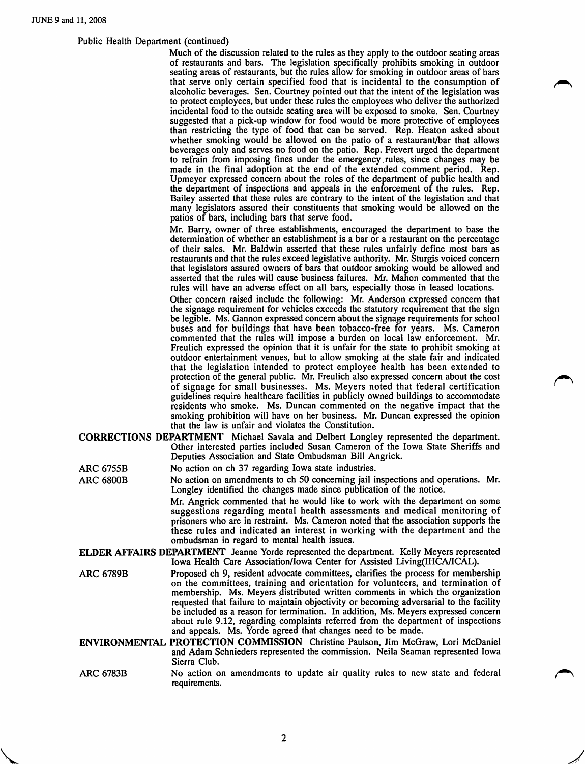$\sqrt{2}$ 

## Public Health Department (continued)

Much of the discussion related to the rules as they apply to the outdoor seating areas of restaurants and bars. The legislation specifically prohibits smoking in outdoor seating areas of restaurants, but the rules allow for smoking in outdoor areas of bars that serve only certain specified food that is incidental to the consumption of alcoholic beverages. Sen. Courtney pointed out that the intent of the legislation was to protect employees, but under these rules the employees who deliver the authorized incidental food to the outside seating area will be exposed to smoke. Sen. Courtney suggested that a pick-up window for food would be more protective of employees than restricting the type of food that can be served. Rep. Heaton asked about whether smoking would be allowed on the patio of a restaurant/bar that allows beverages only and serves no food on the patio. Rep, Frevert urged the department to refrain from imposing fines under the emergency .rules, since changes may be made in the final adoption at the end of the extended comment period. Rep. Upmeyer expressed concern about the roles of the department of public health and the department of inspections and appeals in the enforcement of the rules. Rep. Bailey asserted that these rules are contrary to the intent of the legislation and that many legislators assured their constituents that smoking would be allowed on the patios of bars, including bars that serve food.

Mr. Barry, owner of three establishments, encouraged the department to base the determination of whether an establishment is a bar or a restaurant on the percentage of their sales. Mr. Baldwin asserted that these rules unfairly define most bars as restaurants and that the rules exceed legislative authority. Mr. Sturgis voiced concern that legislators assured owners of bars that outdoor smoking would be allowed and asserted that the rules will cause business failures. Mr. Mahon commented that the rules will have an adverse effect on all bars, especially those in leased locations.

Other concern raised include the following: Mr. Anderson expressed concern that the signage requirement for vehicles exceeds the statutory requirement that the sign be legible. Ms. Gannon expressed concern about the signage requirements for school buses and for buildings that have been tobacco-free for years. Ms. Cameron commented that the rules will impose a burden on local law enforcement. Mr. Freulich expressed the opinion that it is unfair for the state to prohibit smoking at outdoor entertainment venues, but to allow smoking at the state fair and indicated that the legislation intended to protect employee health has been extended to protection of the general public. Mr. Freulich also expressed concern about the cost of signage for small businesses. Ms, Meyers noted that federal certification ^ guidelines require healthcare facilities in publicly owned buildings to accommodate residents who smoke. Ms. Duncan commented on the negative impact that the smoking prohibition will have on her business. Mr. Duncan expressed the opinion that the law is unfair and violates the Constitution.

- CORRECTIONS DEPARTMENT Michael Savala and Delbert Longley represented the department. Other interested parties included Susan Cameron of the Iowa State Sheriffs and Deputies Association and State Ombudsman Bill Angrick.
- ARC 6755B No action on ch 37 regarding Iowa state industries.
- ARC 6800B No action on amendments to ch 50 concerning jail inspections and operations. Mr. Longley identified the changes made since publication of the notice.

Mr. Angrick commented that he would like to work with the department on some suggestions regarding mental health assessments and medical monitoring of prisoners who are in restraint. Ms. Cameron noted that the association supports the these rules and indicated an interest in working with the department and the ombudsman in regard to mental health issues.

- ELDER AFFAIRS DEPARTMENT Jeanne Yorde represented the department. Kelly Meyers represented Iowa Health Care Association/Iowa Center for Assisted Living(IHCA/ICAL).
- ARC 6789B Proposed ch 9, resident advocate committees, clarifies the process for membership on the committees, training and orientation for volunteers, and termination of membership. Ms. Meyers distributed written comments in which the organization requested that failure to maintain objectivity or becoming adversarial to the facility be included as a reason for termination. In addition, Ms. Meyers expressed concern about rule 9.12, regarding complaints referred from the department of inspections and appeals. Ms. Yorde agreed that changes need to be made.
- ENVIRONMENTAL PROTECTION COMMISSION Christine Paulson, Jim McGraw, Lori McDaniel and Adam Schnieders represented the commission. Neila Seaman represented Iowa Sierra Club.
- ARC 6783B No action on amendments to update air quality rules to new state and federal requirements.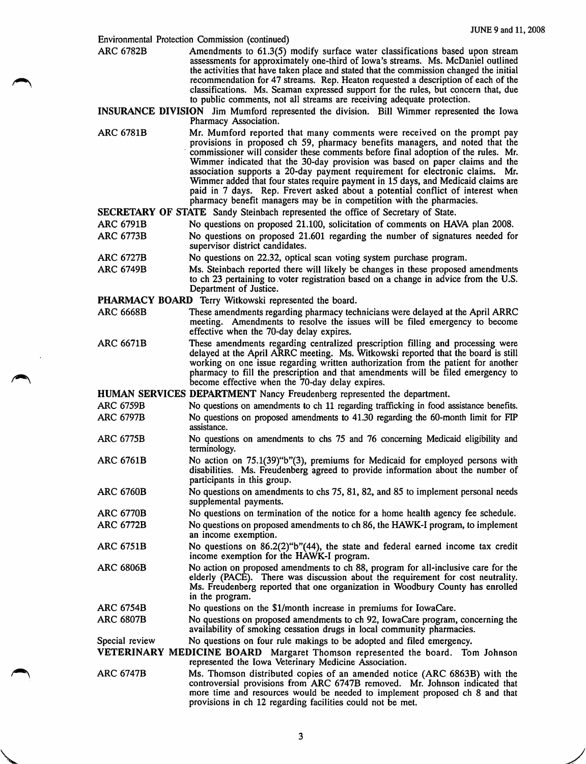|                  | Environmental Protection Commission (continued)                                                                                                                                                                                                                                                                                                                                                                                                                                                                                                                                                                                                             |
|------------------|-------------------------------------------------------------------------------------------------------------------------------------------------------------------------------------------------------------------------------------------------------------------------------------------------------------------------------------------------------------------------------------------------------------------------------------------------------------------------------------------------------------------------------------------------------------------------------------------------------------------------------------------------------------|
| <b>ARC 6782B</b> | Amendments to 61.3(5) modify surface water classifications based upon stream<br>assessments for approximately one-third of Iowa's streams. Ms. McDaniel outlined<br>the activities that have taken place and stated that the commission changed the initial<br>recommendation for 47 streams. Rep. Heaton requested a description of each of the<br>classifications. Ms. Seaman expressed support for the rules, but concern that, due<br>to public comments, not all streams are receiving adequate protection.                                                                                                                                            |
|                  | INSURANCE DIVISION Jim Mumford represented the division. Bill Wimmer represented the Iowa<br>Pharmacy Association.                                                                                                                                                                                                                                                                                                                                                                                                                                                                                                                                          |
| <b>ARC 6781B</b> | Mr. Mumford reported that many comments were received on the prompt pay<br>provisions in proposed ch 59, pharmacy benefits managers, and noted that the<br>commissioner will consider these comments before final adoption of the rules. Mr.<br>Wimmer indicated that the 30-day provision was based on paper claims and the<br>association supports a 20-day payment requirement for electronic claims. Mr.<br>Wimmer added that four states require payment in 15 days, and Medicaid claims are<br>paid in 7 days. Rep. Frevert asked about a potential conflict of interest when<br>pharmacy benefit managers may be in competition with the pharmacies. |
|                  | SECRETARY OF STATE Sandy Steinbach represented the office of Secretary of State.                                                                                                                                                                                                                                                                                                                                                                                                                                                                                                                                                                            |
| <b>ARC 6791B</b> | No questions on proposed 21.100, solicitation of comments on HAVA plan 2008.                                                                                                                                                                                                                                                                                                                                                                                                                                                                                                                                                                                |
| <b>ARC 6773B</b> | No questions on proposed 21.601 regarding the number of signatures needed for<br>supervisor district candidates.                                                                                                                                                                                                                                                                                                                                                                                                                                                                                                                                            |
| <b>ARC 6727B</b> | No questions on 22.32, optical scan voting system purchase program.                                                                                                                                                                                                                                                                                                                                                                                                                                                                                                                                                                                         |
| <b>ARC 6749B</b> | Ms. Steinbach reported there will likely be changes in these proposed amendments<br>to ch 23 pertaining to voter registration based on a change in advice from the U.S.<br>Department of Justice.                                                                                                                                                                                                                                                                                                                                                                                                                                                           |
|                  | PHARMACY BOARD Terry Witkowski represented the board.                                                                                                                                                                                                                                                                                                                                                                                                                                                                                                                                                                                                       |
| <b>ARC 6668B</b> | These amendments regarding pharmacy technicians were delayed at the April ARRC                                                                                                                                                                                                                                                                                                                                                                                                                                                                                                                                                                              |
|                  | meeting. Amendments to resolve the issues will be filed emergency to become<br>effective when the 70-day delay expires.                                                                                                                                                                                                                                                                                                                                                                                                                                                                                                                                     |
| <b>ARC 6671B</b> | These amendments regarding centralized prescription filling and processing were<br>delayed at the April ARRC meeting. Ms. Witkowski reported that the board is still<br>working on one issue regarding written authorization from the patient for another<br>pharmacy to fill the prescription and that amendments will be filed emergency to<br>become effective when the 70-day delay expires.                                                                                                                                                                                                                                                            |
|                  | HUMAN SERVICES DEPARTMENT Nancy Freudenberg represented the department.                                                                                                                                                                                                                                                                                                                                                                                                                                                                                                                                                                                     |
| <b>ARC 6759B</b> | No questions on amendments to ch 11 regarding trafficking in food assistance benefits.                                                                                                                                                                                                                                                                                                                                                                                                                                                                                                                                                                      |
| <b>ARC 6797B</b> | No questions on proposed amendments to 41.30 regarding the 60-month limit for FIP<br>assistance.                                                                                                                                                                                                                                                                                                                                                                                                                                                                                                                                                            |
| <b>ARC 6775B</b> | No questions on amendments to chs 75 and 76 concerning Medicaid eligibility and<br>terminology.                                                                                                                                                                                                                                                                                                                                                                                                                                                                                                                                                             |
| <b>ARC 6761B</b> | No action on 75.1(39)"b"(3), premiums for Medicaid for employed persons with<br>disabilities. Ms. Freudenberg agreed to provide information about the number of<br>participants in this group.                                                                                                                                                                                                                                                                                                                                                                                                                                                              |
| <b>ARC 6760B</b> | No questions on amendments to chs 75, 81, 82, and 85 to implement personal needs<br>supplemental payments.                                                                                                                                                                                                                                                                                                                                                                                                                                                                                                                                                  |
| <b>ARC 6770B</b> | No questions on termination of the notice for a home health agency fee schedule.                                                                                                                                                                                                                                                                                                                                                                                                                                                                                                                                                                            |
| <b>ARC 6772B</b> | No questions on proposed amendments to ch 86, the HAWK-I program, to implement<br>an income exemption.                                                                                                                                                                                                                                                                                                                                                                                                                                                                                                                                                      |
| ARC 6751B        | No questions on $86.2(2)$ "b"(44), the state and federal earned income tax credit<br>income exemption for the HAWK-I program.                                                                                                                                                                                                                                                                                                                                                                                                                                                                                                                               |
| <b>ARC 6806B</b> | No action on proposed amendments to ch 88, program for all-inclusive care for the<br>elderly (PACE). There was discussion about the requirement for cost neutrality.<br>Ms. Freudenberg reported that one organization in Woodbury County has enrolled<br>in the program.                                                                                                                                                                                                                                                                                                                                                                                   |
| <b>ARC 6754B</b> | No questions on the \$1/month increase in premiums for IowaCare.                                                                                                                                                                                                                                                                                                                                                                                                                                                                                                                                                                                            |
| <b>ARC 6807B</b> | No questions on proposed amendments to ch 92, IowaCare program, concerning the<br>availability of smoking cessation drugs in local community pharmacies.                                                                                                                                                                                                                                                                                                                                                                                                                                                                                                    |
| Special review   | No questions on four rule makings to be adopted and filed emergency.                                                                                                                                                                                                                                                                                                                                                                                                                                                                                                                                                                                        |
|                  | VETERINARY MEDICINE BOARD Margaret Thomson represented the board. Tom Johnson<br>represented the Iowa Veterinary Medicine Association.                                                                                                                                                                                                                                                                                                                                                                                                                                                                                                                      |
| <b>ARC 6747B</b> | Ms. Thomson distributed copies of an amended notice (ARC 6863B) with the<br>controversial provisions from ARC 6747B removed. Mr. Johnson indicated that<br>more time and resources would be needed to implement proposed ch 8 and that<br>provisions in ch 12 regarding facilities could not be met.                                                                                                                                                                                                                                                                                                                                                        |

 $\bar{z}$ 

 $\sqrt{2}$